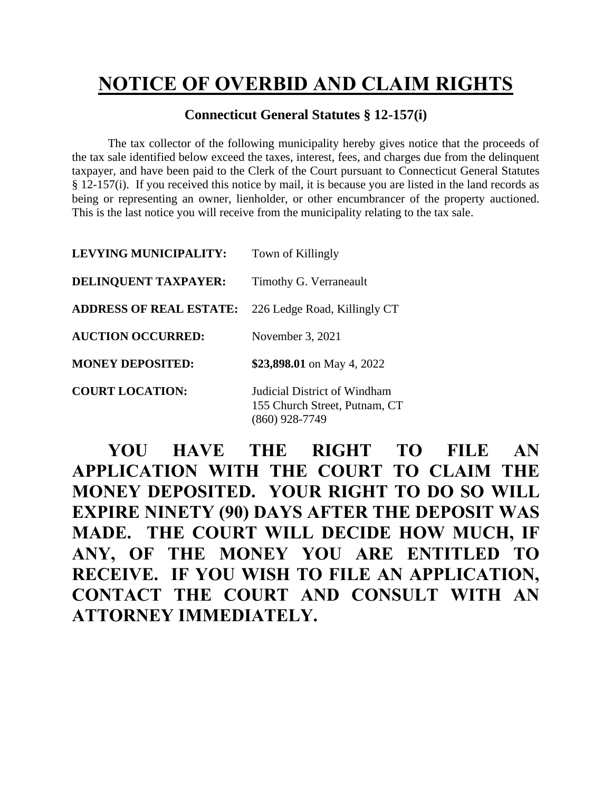## **NOTICE OF OVERBID AND CLAIM RIGHTS**

## **Connecticut General Statutes § 12-157(i)**

The tax collector of the following municipality hereby gives notice that the proceeds of the tax sale identified below exceed the taxes, interest, fees, and charges due from the delinquent taxpayer, and have been paid to the Clerk of the Court pursuant to Connecticut General Statutes § 12-157(i). If you received this notice by mail, it is because you are listed in the land records as being or representing an owner, lienholder, or other encumbrancer of the property auctioned. This is the last notice you will receive from the municipality relating to the tax sale.

| <b>LEVYING MUNICIPALITY:</b>   | Town of Killingly                                             |  |
|--------------------------------|---------------------------------------------------------------|--|
| <b>DELINQUENT TAXPAYER:</b>    | Timothy G. Verraneault                                        |  |
| <b>ADDRESS OF REAL ESTATE:</b> | 226 Ledge Road, Killingly CT                                  |  |
| <b>AUCTION OCCURRED:</b>       | November 3, 2021                                              |  |
| <b>MONEY DEPOSITED:</b>        | \$23,898.01 on May 4, 2022                                    |  |
| <b>COURT LOCATION:</b>         | Judicial District of Windham<br>155 Church Street, Putnam, CT |  |

**YOU HAVE THE RIGHT TO FILE AN APPLICATION WITH THE COURT TO CLAIM THE MONEY DEPOSITED. YOUR RIGHT TO DO SO WILL EXPIRE NINETY (90) DAYS AFTER THE DEPOSIT WAS MADE. THE COURT WILL DECIDE HOW MUCH, IF ANY, OF THE MONEY YOU ARE ENTITLED TO RECEIVE. IF YOU WISH TO FILE AN APPLICATION, CONTACT THE COURT AND CONSULT WITH AN ATTORNEY IMMEDIATELY.**

(860) 928-7749